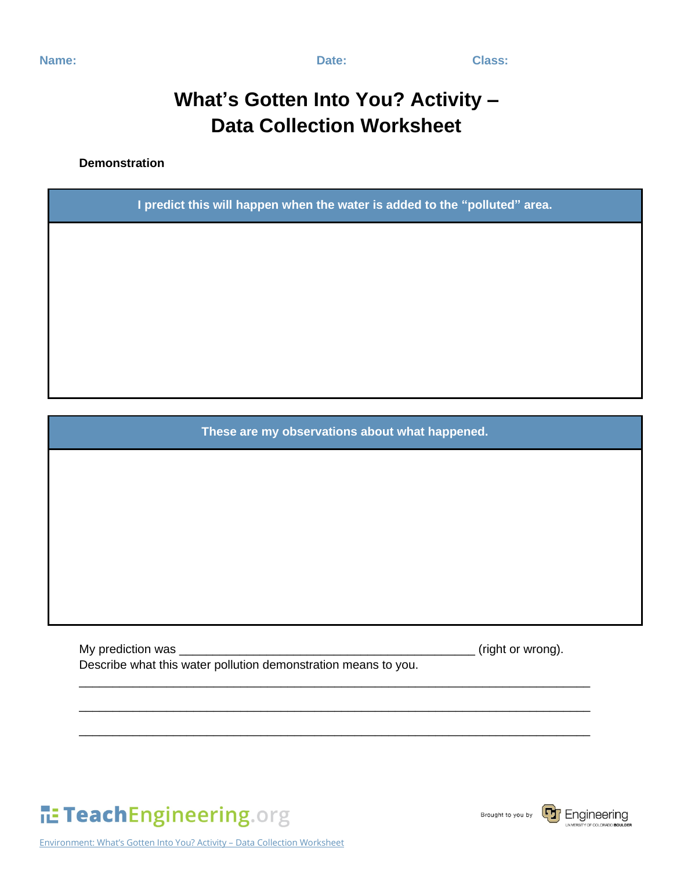**Name:** Class:

## **What's Gotten Into You? Activity – Data Collection Worksheet**

**Demonstration**

**I predict this will happen when the water is added to the "polluted" area.**

**These are my observations about what happened.** 

\_\_\_\_\_\_\_\_\_\_\_\_\_\_\_\_\_\_\_\_\_\_\_\_\_\_\_\_\_\_\_\_\_\_\_\_\_\_\_\_\_\_\_\_\_\_\_\_\_\_\_\_\_\_\_\_\_\_\_\_\_\_\_\_\_\_\_\_\_\_\_\_\_\_\_\_

\_\_\_\_\_\_\_\_\_\_\_\_\_\_\_\_\_\_\_\_\_\_\_\_\_\_\_\_\_\_\_\_\_\_\_\_\_\_\_\_\_\_\_\_\_\_\_\_\_\_\_\_\_\_\_\_\_\_\_\_\_\_\_\_\_\_\_\_\_\_\_\_\_\_\_\_

\_\_\_\_\_\_\_\_\_\_\_\_\_\_\_\_\_\_\_\_\_\_\_\_\_\_\_\_\_\_\_\_\_\_\_\_\_\_\_\_\_\_\_\_\_\_\_\_\_\_\_\_\_\_\_\_\_\_\_\_\_\_\_\_\_\_\_\_\_\_\_\_\_\_\_\_

My prediction was \_\_\_\_\_\_\_\_\_\_\_\_\_\_\_\_\_\_\_\_\_\_\_\_\_\_\_\_\_\_\_\_\_\_\_\_\_\_\_\_\_\_\_\_ (right or wrong). Describe what this water pollution demonstration means to you.



Environment: What's Gotten Into You? Activity – Data Collection Worksheet



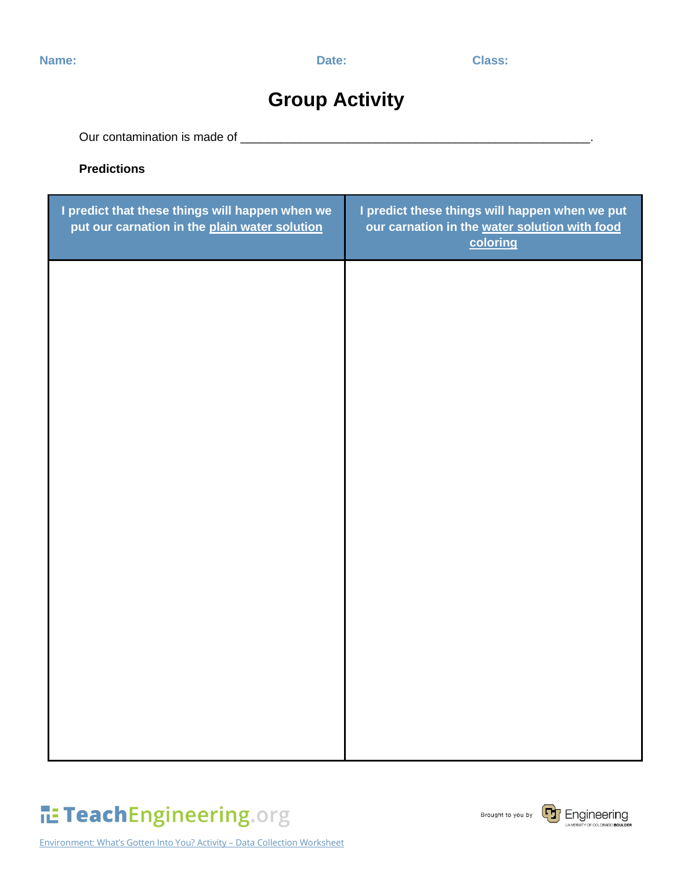### **Group Activity**

Our contamination is made of \_\_\_\_\_\_\_\_\_\_\_\_\_\_\_\_\_\_\_\_\_\_\_\_\_\_\_\_\_\_\_\_\_\_\_\_\_\_\_\_\_\_\_\_\_\_\_\_\_\_\_\_.

#### **Predictions**

| I predict that these things will happen when we<br>put our carnation in the plain water solution | I predict these things will happen when we put<br>our carnation in the water solution with food<br>coloring |
|--------------------------------------------------------------------------------------------------|-------------------------------------------------------------------------------------------------------------|
|                                                                                                  |                                                                                                             |
|                                                                                                  |                                                                                                             |
|                                                                                                  |                                                                                                             |
|                                                                                                  |                                                                                                             |
|                                                                                                  |                                                                                                             |
|                                                                                                  |                                                                                                             |
|                                                                                                  |                                                                                                             |
|                                                                                                  |                                                                                                             |

# TeachEngineering.org

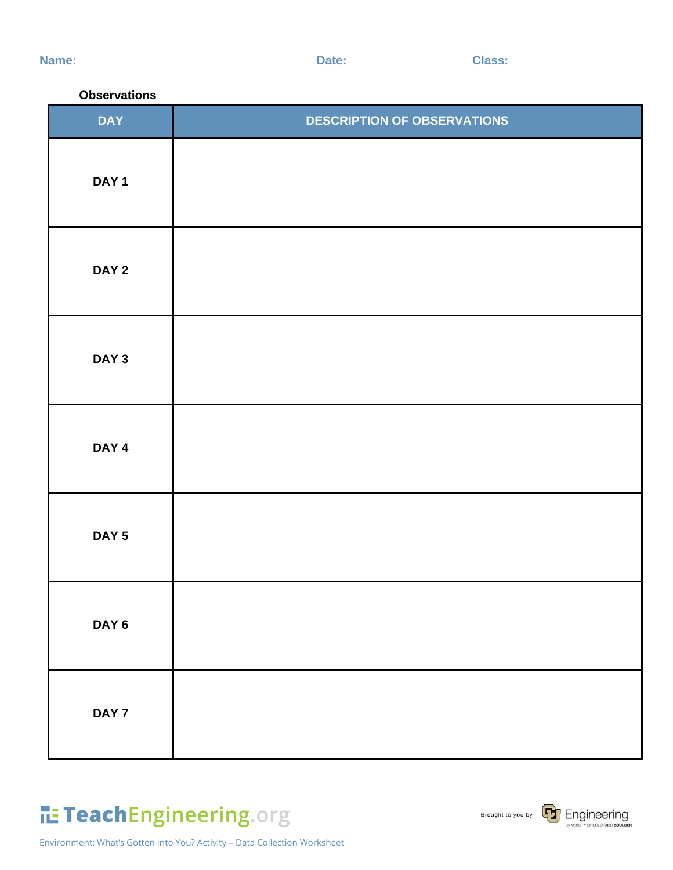**Name:** Class:

#### **Observations**

| <b>DAY</b>       | <b>DESCRIPTION OF OBSERVATIONS</b> |  |
|------------------|------------------------------------|--|
| DAY <sub>1</sub> |                                    |  |
| DAY <sub>2</sub> |                                    |  |
| DAY <sub>3</sub> |                                    |  |
| DAY 4            |                                    |  |
| DAY <sub>5</sub> |                                    |  |
| DAY <sub>6</sub> |                                    |  |
| DAY 7            |                                    |  |

Environment: What's Gotten Into You? Activity – Data Collection Worksheet